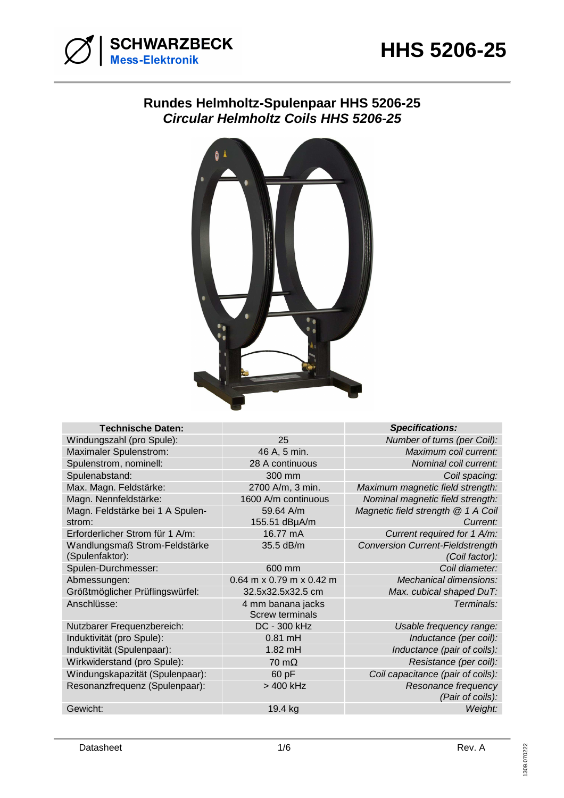

# **Rundes Helmholtz-Spulenpaar HHS 5206-25 Circular Helmholtz Coils HHS 5206-25**



| <b>Technische Daten:</b>         |                                             | <b>Specifications:</b>                  |
|----------------------------------|---------------------------------------------|-----------------------------------------|
| Windungszahl (pro Spule):        | 25                                          | Number of turns (per Coil):             |
| Maximaler Spulenstrom:           | 46 A, 5 min.                                | Maximum coil current:                   |
| Spulenstrom, nominell:           | 28 A continuous                             | Nominal coil current:                   |
| Spulenabstand:                   | 300 mm                                      | Coil spacing:                           |
| Max. Magn. Feldstärke:           | 2700 A/m, 3 min.                            | Maximum magnetic field strength:        |
| Magn. Nennfeldstärke:            | 1600 A/m continuous                         | Nominal magnetic field strength:        |
| Magn. Feldstärke bei 1 A Spulen- | 59.64 A/m                                   | Magnetic field strength @ 1 A Coil      |
| strom:                           | 155.51 dBµA/m                               | Current:                                |
| Erforderlicher Strom für 1 A/m:  | 16.77 mA                                    | Current required for 1 A/m:             |
| Wandlungsmaß Strom-Feldstärke    | 35.5 dB/m                                   | <b>Conversion Current-Fieldstrength</b> |
| (Spulenfaktor):                  |                                             | (Coil factor):                          |
| Spulen-Durchmesser:              | 600 mm                                      | Coil diameter:                          |
| Abmessungen:                     | $0.64$ m x 0.79 m x 0.42 m                  | Mechanical dimensions:                  |
| Größtmöglicher Prüflingswürfel:  | 32.5x32.5x32.5 cm                           | Max. cubical shaped DuT:                |
| Anschlüsse:                      | 4 mm banana jacks<br><b>Screw terminals</b> | Terminals:                              |
| Nutzbarer Frequenzbereich:       | DC - 300 kHz                                | Usable frequency range:                 |
| Induktivität (pro Spule):        | $0.81$ mH                                   | Inductance (per coil):                  |
| Induktivität (Spulenpaar):       | $1.82$ mH                                   | Inductance (pair of coils):             |
| Wirkwiderstand (pro Spule):      | $70 \text{ m}\Omega$                        | Resistance (per coil):                  |
| Windungskapazität (Spulenpaar):  | 60 pF                                       | Coil capacitance (pair of coils):       |
| Resonanzfrequenz (Spulenpaar):   | > 400 kHz                                   | Resonance frequency<br>(Pair of coils): |
| Gewicht:                         | 19.4 kg                                     | Weight:                                 |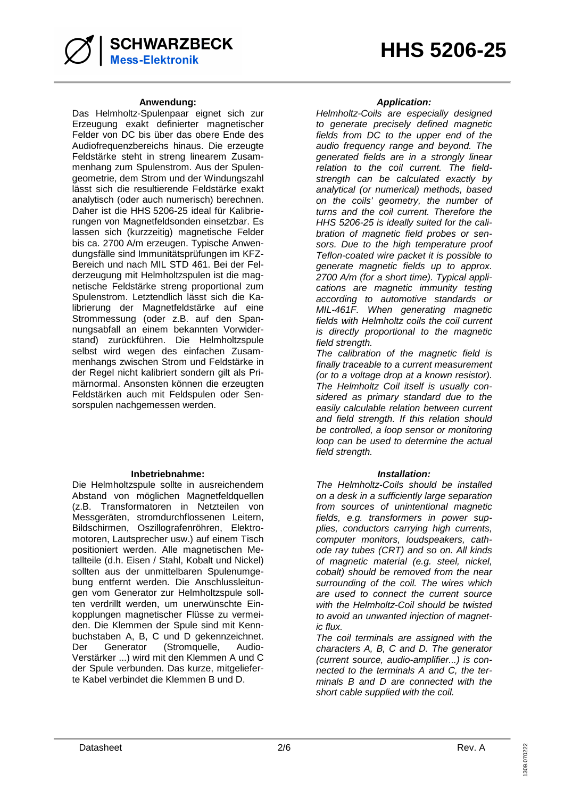### **Anwendung: Application:**

Das Helmholtz-Spulenpaar eignet sich zur Erzeugung exakt definierter magnetischer Felder von DC bis über das obere Ende des Audiofrequenzbereichs hinaus. Die erzeugte Feldstärke steht in streng linearem Zusammenhang zum Spulenstrom. Aus der Spulengeometrie, dem Strom und der Windungszahl lässt sich die resultierende Feldstärke exakt analytisch (oder auch numerisch) berechnen. Daher ist die HHS 5206-25 ideal für Kalibrierungen von Magnetfeldsonden einsetzbar. Es lassen sich (kurzzeitig) magnetische Felder bis ca. 2700 A/m erzeugen. Typische Anwendungsfälle sind Immunitätsprüfungen im KFZ-Bereich und nach MIL STD 461. Bei der Felderzeugung mit Helmholtzspulen ist die magnetische Feldstärke streng proportional zum Spulenstrom. Letztendlich lässt sich die Kalibrierung der Magnetfeldstärke auf eine Strommessung (oder z.B. auf den Spannungsabfall an einem bekannten Vorwiderstand) zurückführen. Die Helmholtzspule selbst wird wegen des einfachen Zusammenhangs zwischen Strom und Feldstärke in der Regel nicht kalibriert sondern gilt als Primärnormal. Ansonsten können die erzeugten Feldstärken auch mit Feldspulen oder Sensorspulen nachgemessen werden.

### **Inbetriebnahme: Installation:**

Die Helmholtzspule sollte in ausreichendem Abstand von möglichen Magnetfeldquellen (z.B. Transformatoren in Netzteilen von Messgeräten, stromdurchflossenen Leitern, Bildschirmen, Oszillografenröhren, Elektromotoren, Lautsprecher usw.) auf einem Tisch positioniert werden. Alle magnetischen Metallteile (d.h. Eisen / Stahl, Kobalt und Nickel) sollten aus der unmittelbaren Spulenumgebung entfernt werden. Die Anschlussleitungen vom Generator zur Helmholtzspule sollten verdrillt werden, um unerwünschte Einkopplungen magnetischer Flüsse zu vermeiden. Die Klemmen der Spule sind mit Kennbuchstaben A, B, C und D gekennzeichnet. Der Generator (Stromquelle, Audio-Verstärker ...) wird mit den Klemmen A und C der Spule verbunden. Das kurze, mitgelieferte Kabel verbindet die Klemmen B und D.

Helmholtz-Coils are especially designed to generate precisely defined magnetic fields from DC to the upper end of the audio frequency range and beyond. The generated fields are in a strongly linear relation to the coil current. The fieldstrength can be calculated exactly by analytical (or numerical) methods, based on the coils' geometry, the number of turns and the coil current. Therefore the HHS 5206-25 is ideally suited for the calibration of magnetic field probes or sensors. Due to the high temperature proof Teflon-coated wire packet it is possible to generate magnetic fields up to approx. 2700 A/m (for a short time). Typical applications are magnetic immunity testing according to automotive standards or MIL-461F. When generating magnetic fields with Helmholtz coils the coil current is directly proportional to the magnetic field strength.

The calibration of the magnetic field is finally traceable to a current measurement (or to a voltage drop at a known resistor). The Helmholtz Coil itself is usually considered as primary standard due to the easily calculable relation between current and field strength. If this relation should be controlled, a loop sensor or monitoring loop can be used to determine the actual field strenath.

The Helmholtz-Coils should be installed on a desk in a sufficiently large separation from sources of unintentional magnetic fields, e.g. transformers in power supplies, conductors carrying high currents, computer monitors, loudspeakers, cathode ray tubes (CRT) and so on. All kinds of magnetic material (e.g. steel, nickel, cobalt) should be removed from the near surrounding of the coil. The wires which are used to connect the current source with the Helmholtz-Coil should be twisted to avoid an unwanted injection of magnetic flux.

The coil terminals are assigned with the characters A, B, C and D. The generator (current source, audio-amplifier...) is connected to the terminals A and C, the terminals B and D are connected with the short cable supplied with the coil.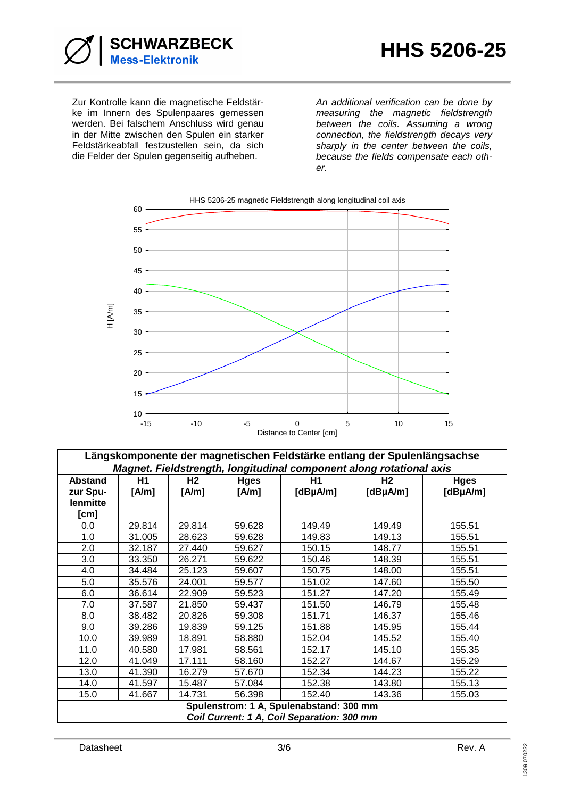

Zur Kontrolle kann die magnetische Feldstärke im Innern des Spulenpaares gemessen werden. Bei falschem Anschluss wird genau in der Mitte zwischen den Spulen ein starker Feldstärkeabfall festzustellen sein, da sich die Felder der Spulen gegenseitig aufheben.

An additional verification can be done by measuring the magnetic fieldstrength between the coils. Assuming a wrong connection, the fieldstrength decays very sharply in the center between the coils, because the fields compensate each other.



**Längskomponente der magnetischen Feldstärke entlang der Spulenlängsachse Magnet. Fieldstrength, longitudinal component along rotational axis**

| <u>magnet. Fleidstrength, iongituumal component along rotational axis</u>             |        |           |             |               |               |               |  |  |  |
|---------------------------------------------------------------------------------------|--------|-----------|-------------|---------------|---------------|---------------|--|--|--|
| <b>Abstand</b>                                                                        | H1     | <b>H2</b> | <b>Hges</b> | <b>H1</b>     | H2            | <b>Hges</b>   |  |  |  |
| zur Spu-                                                                              | [A/m]  | [A/m]     | [A/m]       | $[dB\mu A/m]$ | $[dB\mu A/m]$ | $[dB\mu A/m]$ |  |  |  |
| lenmitte                                                                              |        |           |             |               |               |               |  |  |  |
| [cm]                                                                                  |        |           |             |               |               |               |  |  |  |
| 0.0                                                                                   | 29.814 | 29.814    | 59.628      | 149.49        | 149.49        | 155.51        |  |  |  |
| 1.0                                                                                   | 31.005 | 28.623    | 59.628      | 149.83        | 149.13        | 155.51        |  |  |  |
| 2.0                                                                                   | 32.187 | 27.440    | 59.627      | 150.15        | 148.77        | 155.51        |  |  |  |
| 3.0                                                                                   | 33.350 | 26.271    | 59.622      | 150.46        | 148.39        | 155.51        |  |  |  |
| 4.0                                                                                   | 34.484 | 25.123    | 59.607      | 150.75        | 148.00        | 155.51        |  |  |  |
| 5.0                                                                                   | 35.576 | 24.001    | 59.577      | 151.02        | 147.60        | 155.50        |  |  |  |
| 6.0                                                                                   | 36.614 | 22.909    | 59.523      | 151.27        | 147.20        | 155.49        |  |  |  |
| 7.0                                                                                   | 37.587 | 21.850    | 59.437      | 151.50        | 146.79        | 155.48        |  |  |  |
| 8.0                                                                                   | 38.482 | 20.826    | 59.308      | 151.71        | 146.37        | 155.46        |  |  |  |
| 9.0                                                                                   | 39.286 | 19.839    | 59.125      | 151.88        | 145.95        | 155.44        |  |  |  |
| 10.0                                                                                  | 39.989 | 18.891    | 58.880      | 152.04        | 145.52        | 155.40        |  |  |  |
| 11.0                                                                                  | 40.580 | 17.981    | 58.561      | 152.17        | 145.10        | 155.35        |  |  |  |
| 12.0                                                                                  | 41.049 | 17.111    | 58.160      | 152.27        | 144.67        | 155.29        |  |  |  |
| 13.0                                                                                  | 41.390 | 16.279    | 57.670      | 152.34        | 144.23        | 155.22        |  |  |  |
| 14.0                                                                                  | 41.597 | 15.487    | 57.084      | 152.38        | 143.80        | 155.13        |  |  |  |
| 15.0                                                                                  | 41.667 | 14.731    | 56.398      | 152.40        | 143.36        | 155.03        |  |  |  |
| Spulenstrom: 1 A, Spulenabstand: 300 mm<br>Coil Current: 1 A, Coil Separation: 300 mm |        |           |             |               |               |               |  |  |  |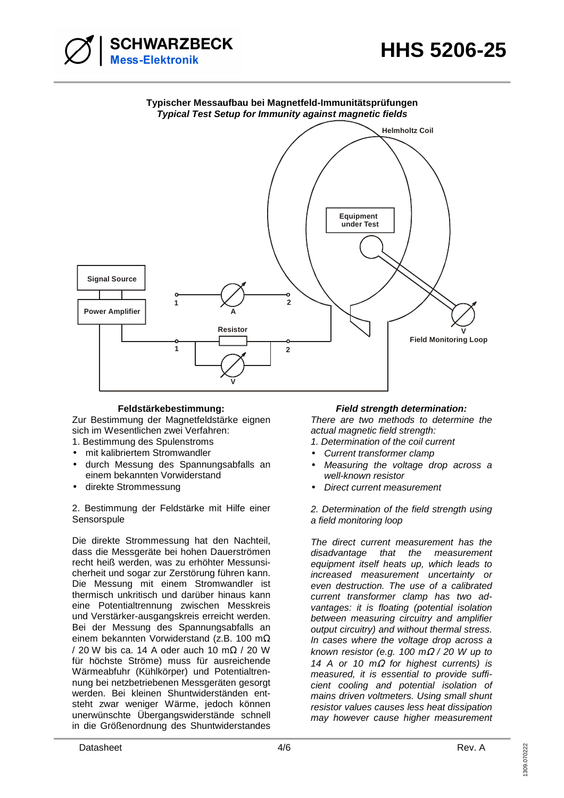

### **Typischer Messaufbau bei Magnetfeld-Immunitätsprüfungen Typical Test Setup for Immunity against magnetic fields**



Zur Bestimmung der Magnetfeldstärke eignen sich im Wesentlichen zwei Verfahren:

- 1. Bestimmung des Spulenstroms
- mit kalibriertem Stromwandler
- durch Messung des Spannungsabfalls an einem bekannten Vorwiderstand
- direkte Strommessung

2. Bestimmung der Feldstärke mit Hilfe einer **Sensorspule** 

Die direkte Strommessung hat den Nachteil, dass die Messgeräte bei hohen Dauerströmen recht heiß werden, was zu erhöhter Messunsicherheit und sogar zur Zerstörung führen kann. Die Messung mit einem Stromwandler ist thermisch unkritisch und darüber hinaus kann eine Potentialtrennung zwischen Messkreis und Verstärker-ausgangskreis erreicht werden. Bei der Messung des Spannungsabfalls an einem bekannten Vorwiderstand (z.B. 100 mΩ / 20 W bis ca. 14 A oder auch 10 mΩ / 20 W für höchste Ströme) muss für ausreichende Wärmeabfuhr (Kühlkörper) und Potentialtrennung bei netzbetriebenen Messgeräten gesorgt werden. Bei kleinen Shuntwiderständen entsteht zwar weniger Wärme, jedoch können unerwünschte Übergangswiderstände schnell in die Größenordnung des Shuntwiderstandes

## **Feldstärkebestimmung: Field strength determination:**

There are two methods to determine the actual magnetic field strength:

- 1. Determination of the coil current
- Current transformer clamp
- Measuring the voltage drop across a well-known resistor
- Direct current measurement

2. Determination of the field strength using a field monitoring loop

The direct current measurement has the disadvantage that the measurement equipment itself heats up, which leads to increased measurement uncertainty or even destruction. The use of a calibrated current transformer clamp has two advantages: it is floating (potential isolation between measuring circuitry and amplifier output circuitry) and without thermal stress. In cases where the voltage drop across a known resistor (e.g. 100 m $\Omega$  / 20 W up to 14 A or 10 m $\Omega$  for highest currents) is measured, it is essential to provide sufficient cooling and potential isolation of mains driven voltmeters. Using small shunt resistor values causes less heat dissipation may however cause higher measurement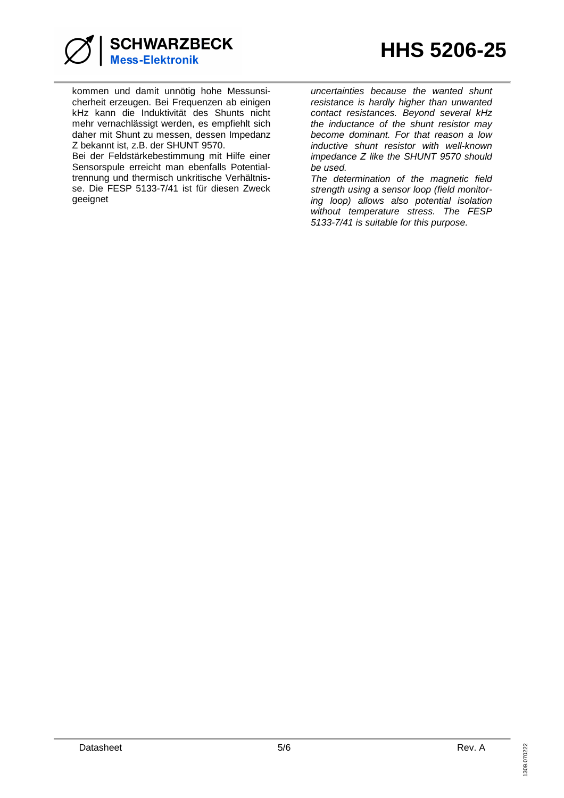

kommen und damit unnötig hohe Messunsicherheit erzeugen. Bei Frequenzen ab einigen kHz kann die Induktivität des Shunts nicht mehr vernachlässigt werden, es empfiehlt sich daher mit Shunt zu messen, dessen Impedanz Z bekannt ist, z.B. der SHUNT 9570.

Bei der Feldstärkebestimmung mit Hilfe einer Sensorspule erreicht man ebenfalls Potentialtrennung und thermisch unkritische Verhältnisse. Die FESP 5133-7/41 ist für diesen Zweck geeignet

uncertainties because the wanted shunt resistance is hardly higher than unwanted contact resistances. Beyond several kHz the inductance of the shunt resistor may become dominant. For that reason a low inductive shunt resistor with well-known impedance Z like the SHUNT 9570 should be used.

The determination of the magnetic field strength using a sensor loop (field monitoring loop) allows also potential isolation without temperature stress. The FESP 5133-7/41 is suitable for this purpose.